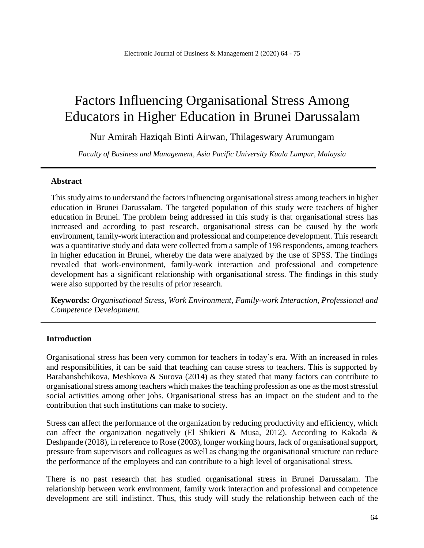# Factors Influencing Organisational Stress Among Educators in Higher Education in Brunei Darussalam

Nur Amirah Haziqah Binti Airwan, Thilageswary Arumungam

*Faculty of Business and Management, Asia Pacific University Kuala Lumpur, Malaysia*

### **Abstract**

This study aims to understand the factors influencing organisational stress among teachers in higher education in Brunei Darussalam. The targeted population of this study were teachers of higher education in Brunei. The problem being addressed in this study is that organisational stress has increased and according to past research, organisational stress can be caused by the work environment, family-work interaction and professional and competence development. This research was a quantitative study and data were collected from a sample of 198 respondents, among teachers in higher education in Brunei, whereby the data were analyzed by the use of SPSS. The findings revealed that work-environment, family-work interaction and professional and competence development has a significant relationship with organisational stress. The findings in this study were also supported by the results of prior research.

**Keywords:** *Organisational Stress, Work Environment, Family-work Interaction, Professional and Competence Development.*

### **Introduction**

Organisational stress has been very common for teachers in today's era. With an increased in roles and responsibilities, it can be said that teaching can cause stress to teachers. This is supported by Barabanshchikova, Meshkova & Surova (2014) as they stated that many factors can contribute to organisational stress among teachers which makes the teaching profession as one as the most stressful social activities among other jobs. Organisational stress has an impact on the student and to the contribution that such institutions can make to society.

Stress can affect the performance of the organization by reducing productivity and efficiency, which can affect the organization negatively (El Shikieri & Musa, 2012). According to Kakada & Deshpande (2018), in reference to Rose (2003), longer working hours, lack of organisational support, pressure from supervisors and colleagues as well as changing the organisational structure can reduce the performance of the employees and can contribute to a high level of organisational stress.

There is no past research that has studied organisational stress in Brunei Darussalam. The relationship between work environment, family work interaction and professional and competence development are still indistinct. Thus, this study will study the relationship between each of the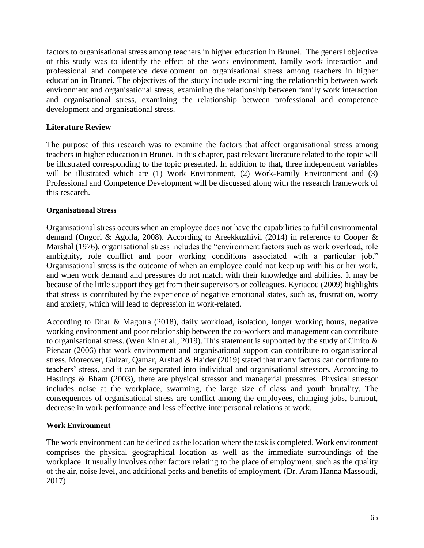factors to organisational stress among teachers in higher education in Brunei. The general objective of this study was to identify the effect of the work environment, family work interaction and professional and competence development on organisational stress among teachers in higher education in Brunei. The objectives of the study include examining the relationship between work environment and organisational stress, examining the relationship between family work interaction and organisational stress, examining the relationship between professional and competence development and organisational stress.

# **Literature Review**

The purpose of this research was to examine the factors that affect organisational stress among teachers in higher education in Brunei. In this chapter, past relevant literature related to the topic will be illustrated corresponding to the topic presented. In addition to that, three independent variables will be illustrated which are (1) Work Environment, (2) Work-Family Environment and (3) Professional and Competence Development will be discussed along with the research framework of this research.

## **Organisational Stress**

Organisational stress occurs when an employee does not have the capabilities to fulfil environmental demand (Ongori & Agolla, 2008). According to Areekkuzhiyil (2014) in reference to Cooper & Marshal (1976), organisational stress includes the "environment factors such as work overload, role ambiguity, role conflict and poor working conditions associated with a particular job." Organisational stress is the outcome of when an employee could not keep up with his or her work, and when work demand and pressures do not match with their knowledge and abilities. It may be because of the little support they get from their supervisors or colleagues. Kyriacou (2009) highlights that stress is contributed by the experience of negative emotional states, such as, frustration, worry and anxiety, which will lead to depression in work-related.

According to Dhar & Magotra (2018), daily workload, isolation, longer working hours, negative working environment and poor relationship between the co-workers and management can contribute to organisational stress. (Wen Xin et al., 2019). This statement is supported by the study of Chrito  $\&$ Pienaar (2006) that work environment and organisational support can contribute to organisational stress. Moreover, Gulzar, Qamar, Arshad & Haider (2019) stated that many factors can contribute to teachers' stress, and it can be separated into individual and organisational stressors. According to Hastings & Bham (2003), there are physical stressor and managerial pressures. Physical stressor includes noise at the workplace, swarming, the large size of class and youth brutality. The consequences of organisational stress are conflict among the employees, changing jobs, burnout, decrease in work performance and less effective interpersonal relations at work.

## **Work Environment**

The work environment can be defined as the location where the task is completed. Work environment comprises the physical geographical location as well as the immediate surroundings of the workplace. It usually involves other factors relating to the place of employment, such as the quality of the air, noise level, and additional perks and benefits of employment. (Dr. Aram Hanna Massoudi, 2017)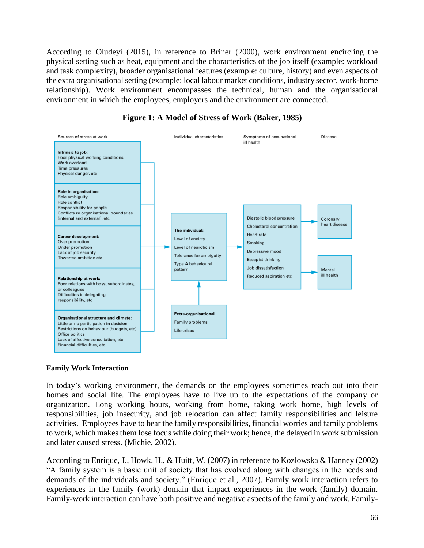According to Oludeyi (2015), in reference to Briner (2000), work environment encircling the physical setting such as heat, equipment and the characteristics of the job itself (example: workload and task complexity), broader organisational features (example: culture, history) and even aspects of the extra organisational setting (example: local labour market conditions, industry sector, work-home relationship). Work environment encompasses the technical, human and the organisational environment in which the employees, employers and the environment are connected.





#### **Family Work Interaction**

In today's working environment, the demands on the employees sometimes reach out into their homes and social life. The employees have to live up to the expectations of the company or organization. Long working hours, working from home, taking work home, high levels of responsibilities, job insecurity, and job relocation can affect family responsibilities and leisure activities. Employees have to bear the family responsibilities, financial worries and family problems to work, which makes them lose focus while doing their work; hence, the delayed in work submission and later caused stress. (Michie, 2002).

According to Enrique, J., Howk, H., & Huitt, W. (2007) in reference to Kozlowska & Hanney (2002) "A family system is a basic unit of society that has evolved along with changes in the needs and demands of the individuals and society." (Enrique et al., 2007). Family work interaction refers to experiences in the family (work) domain that impact experiences in the work (family) domain. Family-work interaction can have both positive and negative aspects of the family and work. Family-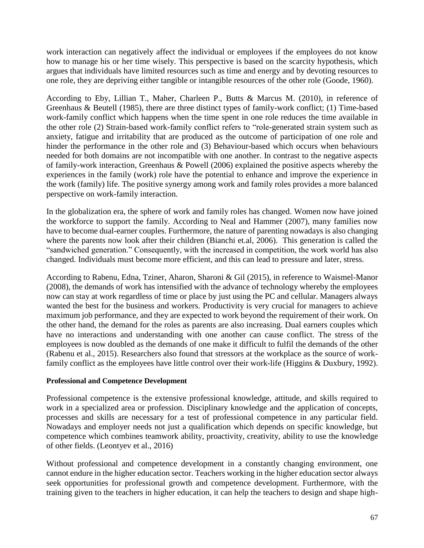work interaction can negatively affect the individual or employees if the employees do not know how to manage his or her time wisely. This perspective is based on the scarcity hypothesis, which argues that individuals have limited resources such as time and energy and by devoting resources to one role, they are depriving either tangible or intangible resources of the other role (Goode, 1960).

According to Eby, Lillian T., Maher, Charleen P., Butts & Marcus M. (2010), in reference of Greenhaus & Beutell (1985), there are three distinct types of family-work conflict; (1) Time-based work-family conflict which happens when the time spent in one role reduces the time available in the other role (2) Strain-based work-family conflict refers to "role-generated strain system such as anxiety, fatigue and irritability that are produced as the outcome of participation of one role and hinder the performance in the other role and (3) Behaviour-based which occurs when behaviours needed for both domains are not incompatible with one another. In contrast to the negative aspects of family-work interaction, Greenhaus & Powell (2006) explained the positive aspects whereby the experiences in the family (work) role have the potential to enhance and improve the experience in the work (family) life. The positive synergy among work and family roles provides a more balanced perspective on work-family interaction.

In the globalization era, the sphere of work and family roles has changed. Women now have joined the workforce to support the family. According to Neal and Hammer (2007), many families now have to become dual-earner couples. Furthermore, the nature of parenting nowadays is also changing where the parents now look after their children (Bianchi et.al, 2006). This generation is called the "sandwiched generation." Consequently, with the increased in competition, the work world has also changed. Individuals must become more efficient, and this can lead to pressure and later, stress.

According to Rabenu, Edna, Tziner, Aharon, Sharoni & Gil (2015), in reference to Waismel-Manor (2008), the demands of work has intensified with the advance of technology whereby the employees now can stay at work regardless of time or place by just using the PC and cellular. Managers always wanted the best for the business and workers. Productivity is very crucial for managers to achieve maximum job performance, and they are expected to work beyond the requirement of their work. On the other hand, the demand for the roles as parents are also increasing. Dual earners couples which have no interactions and understanding with one another can cause conflict. The stress of the employees is now doubled as the demands of one make it difficult to fulfil the demands of the other (Rabenu et al., 2015). Researchers also found that stressors at the workplace as the source of workfamily conflict as the employees have little control over their work-life (Higgins & Duxbury, 1992).

### **Professional and Competence Development**

Professional competence is the extensive professional knowledge, attitude, and skills required to work in a specialized area or profession. Disciplinary knowledge and the application of concepts, processes and skills are necessary for a test of professional competence in any particular field. Nowadays and employer needs not just a qualification which depends on specific knowledge, but competence which combines teamwork ability, proactivity, creativity, ability to use the knowledge of other fields. (Leontyev et al., 2016)

Without professional and competence development in a constantly changing environment, one cannot endure in the higher education sector. Teachers working in the higher education sector always seek opportunities for professional growth and competence development. Furthermore, with the training given to the teachers in higher education, it can help the teachers to design and shape high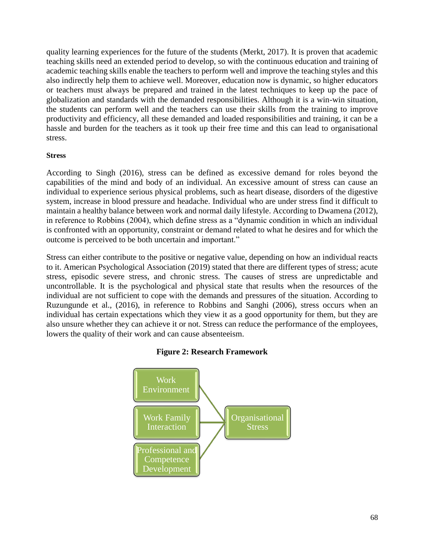quality learning experiences for the future of the students (Merkt, 2017). It is proven that academic teaching skills need an extended period to develop, so with the continuous education and training of academic teaching skills enable the teachers to perform well and improve the teaching styles and this also indirectly help them to achieve well. Moreover, education now is dynamic, so higher educators or teachers must always be prepared and trained in the latest techniques to keep up the pace of globalization and standards with the demanded responsibilities. Although it is a win-win situation, the students can perform well and the teachers can use their skills from the training to improve productivity and efficiency, all these demanded and loaded responsibilities and training, it can be a hassle and burden for the teachers as it took up their free time and this can lead to organisational stress.

### **Stress**

According to Singh (2016), stress can be defined as excessive demand for roles beyond the capabilities of the mind and body of an individual. An excessive amount of stress can cause an individual to experience serious physical problems, such as heart disease, disorders of the digestive system, increase in blood pressure and headache. Individual who are under stress find it difficult to maintain a healthy balance between work and normal daily lifestyle. According to Dwamena (2012), in reference to Robbins (2004), which define stress as a "dynamic condition in which an individual is confronted with an opportunity, constraint or demand related to what he desires and for which the outcome is perceived to be both uncertain and important."

Stress can either contribute to the positive or negative value, depending on how an individual reacts to it. American Psychological Association (2019) stated that there are different types of stress; acute stress, episodic severe stress, and chronic stress. The causes of stress are unpredictable and uncontrollable. It is the psychological and physical state that results when the resources of the individual are not sufficient to cope with the demands and pressures of the situation. According to Ruzungunde et al., (2016), in reference to Robbins and Sanghi (2006), stress occurs when an individual has certain expectations which they view it as a good opportunity for them, but they are also unsure whether they can achieve it or not. Stress can reduce the performance of the employees, lowers the quality of their work and can cause absenteeism.



### **Figure 2: Research Framework**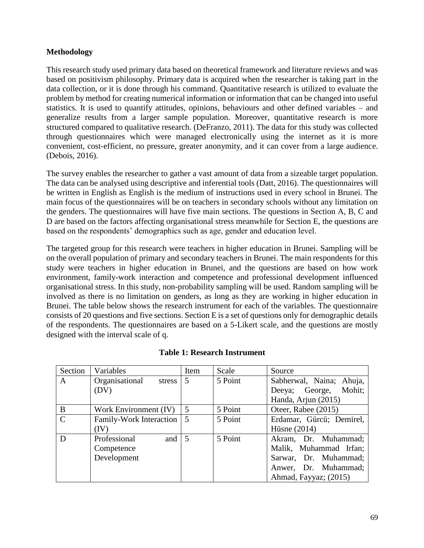# **Methodology**

This research study used primary data based on theoretical framework and literature reviews and was based on positivism philosophy. Primary data is acquired when the researcher is taking part in the data collection, or it is done through his command. Quantitative research is utilized to evaluate the problem by method for creating numerical information or information that can be changed into useful statistics. It is used to quantify attitudes, opinions, behaviours and other defined variables – and generalize results from a larger sample population. Moreover, quantitative research is more structured compared to qualitative research. (DeFranzo, 2011). The data for this study was collected through questionnaires which were managed electronically using the internet as it is more convenient, cost-efficient, no pressure, greater anonymity, and it can cover from a large audience. (Debois, 2016).

The survey enables the researcher to gather a vast amount of data from a sizeable target population. The data can be analysed using descriptive and inferential tools (Datt, 2016). The questionnaires will be written in English as English is the medium of instructions used in every school in Brunei. The main focus of the questionnaires will be on teachers in secondary schools without any limitation on the genders. The questionnaires will have five main sections. The questions in Section A, B, C and D are based on the factors affecting organisational stress meanwhile for Section E, the questions are based on the respondents' demographics such as age, gender and education level.

The targeted group for this research were teachers in higher education in Brunei. Sampling will be on the overall population of primary and secondary teachers in Brunei. The main respondents for this study were teachers in higher education in Brunei, and the questions are based on how work environment, family-work interaction and competence and professional development influenced organisational stress. In this study, non-probability sampling will be used. Random sampling will be involved as there is no limitation on genders, as long as they are working in higher education in Brunei. The table below shows the research instrument for each of the variables. The questionnaire consists of 20 questions and five sections. Section E is a set of questions only for demographic details of the respondents. The questionnaires are based on a 5-Likert scale, and the questions are mostly designed with the interval scale of q.

| Section       | Variables                | Item           | Scale   | Source                   |  |  |
|---------------|--------------------------|----------------|---------|--------------------------|--|--|
| A             | Organisational<br>stress | 5              | 5 Point | Sabherwal, Naina; Ahuja, |  |  |
|               | (DV)                     |                |         | Mohit;<br>Deeya; George, |  |  |
|               |                          |                |         | Handa, Arjun (2015)      |  |  |
| B             | Work Environment (IV)    | 5              | 5 Point | Oteer, Rabee (2015)      |  |  |
| $\mathcal{C}$ | Family-Work Interaction  | 5              | 5 Point | Erdamar, Gürcü; Demirel, |  |  |
|               | (IV)                     |                |         | Hüsne $(2014)$           |  |  |
| D             | Professional<br>and      | $\overline{5}$ | 5 Point | Akram, Dr. Muhammad;     |  |  |
|               | Competence               |                |         | Malik, Muhammad Irfan;   |  |  |
|               | Development              |                |         | Sarwar, Dr. Muhammad;    |  |  |
|               |                          |                |         | Anwer, Dr. Muhammad;     |  |  |
|               |                          |                |         | Ahmad, Fayyaz; (2015)    |  |  |

|  | <b>Table 1: Research Instrument</b> |
|--|-------------------------------------|
|  |                                     |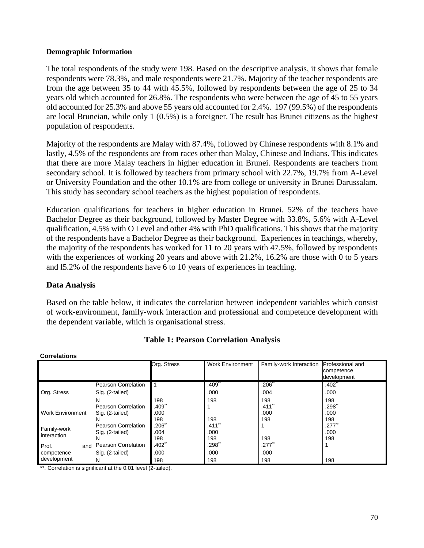#### **Demographic Information**

The total respondents of the study were 198. Based on the descriptive analysis, it shows that female respondents were 78.3%, and male respondents were 21.7%. Majority of the teacher respondents are from the age between 35 to 44 with 45.5%, followed by respondents between the age of 25 to 34 years old which accounted for 26.8%. The respondents who were between the age of 45 to 55 years old accounted for 25.3% and above 55 years old accounted for 2.4%. 197 (99.5%) of the respondents are local Bruneian, while only 1 (0.5%) is a foreigner. The result has Brunei citizens as the highest population of respondents.

Majority of the respondents are Malay with 87.4%, followed by Chinese respondents with 8.1% and lastly, 4.5% of the respondents are from races other than Malay, Chinese and Indians. This indicates that there are more Malay teachers in higher education in Brunei. Respondents are teachers from secondary school. It is followed by teachers from primary school with 22.7%, 19.7% from A-Level or University Foundation and the other 10.1% are from college or university in Brunei Darussalam. This study has secondary school teachers as the highest population of respondents.

Education qualifications for teachers in higher education in Brunei. 52% of the teachers have Bachelor Degree as their background, followed by Master Degree with 33.8%, 5.6% with A-Level qualification, 4.5% with O Level and other 4% with PhD qualifications. This shows that the majority of the respondents have a Bachelor Degree as their background. Experiences in teachings, whereby, the majority of the respondents has worked for 11 to 20 years with 47.5%, followed by respondents with the experiences of working 20 years and above with 21.2%, 16.2% are those with 0 to 5 years and l5.2% of the respondents have 6 to 10 years of experiences in teaching.

### **Data Analysis**

**Correlations**

Based on the table below, it indicates the correlation between independent variables which consist of work-environment, family-work interaction and professional and competence development with the dependent variable, which is organisational stress.

| <u>,,,,,,,,,,,,,</u>    |                            |             |                      |                         |                                               |  |  |  |  |
|-------------------------|----------------------------|-------------|----------------------|-------------------------|-----------------------------------------------|--|--|--|--|
|                         |                            | Org. Stress | Work Environment     | Family-work Interaction | Professional and<br>competence<br>development |  |  |  |  |
|                         | Pearson Correlation        |             | $.409$ **            | $.206$ **               | .402"                                         |  |  |  |  |
| Org. Stress             | Sig. (2-tailed)            |             | .000                 | .004                    | .000                                          |  |  |  |  |
|                         | N                          | 198         | 198                  | 198                     | 198                                           |  |  |  |  |
|                         | Pearson Correlation        | .409゛       |                      | $.411$ <sup>**</sup>    | 1298.                                         |  |  |  |  |
| <b>Work Environment</b> | Sig. (2-tailed)            | .000        |                      | .000                    | .000                                          |  |  |  |  |
|                         | N                          | 198         | 198                  | 198                     | 198                                           |  |  |  |  |
| Family-work             | Pearson Correlation        | .206"       | $.411$ <sup>**</sup> |                         | $.277$ <sup>**</sup>                          |  |  |  |  |
| interaction             | Sig. (2-tailed)            | .004        | .000                 |                         | .000                                          |  |  |  |  |
|                         | N                          | 198         | 198                  | 198                     | 198                                           |  |  |  |  |
| Prof.<br>and            | <b>Pearson Correlation</b> | .402**      | .298**               | $.277$ <sup>**</sup>    |                                               |  |  |  |  |
| competence              | Sig. (2-tailed)            | .000        | .000                 | .000                    |                                               |  |  |  |  |
| development             | N                          | 198         | 198                  | 198                     | 198                                           |  |  |  |  |

### **Table 1: Pearson Correlation Analysis**

\*\*. Correlation is significant at the 0.01 level (2-tailed).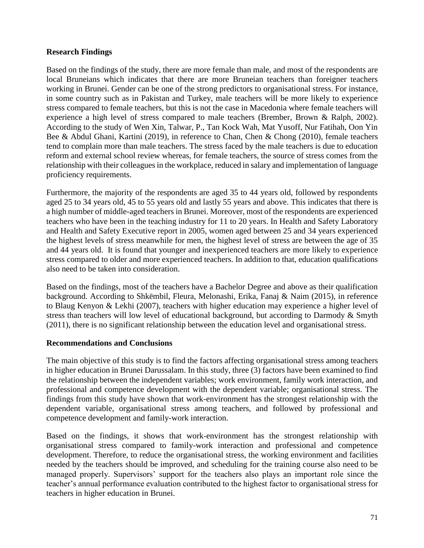## **Research Findings**

Based on the findings of the study, there are more female than male, and most of the respondents are local Bruneians which indicates that there are more Bruneian teachers than foreigner teachers working in Brunei. Gender can be one of the strong predictors to organisational stress. For instance, in some country such as in Pakistan and Turkey, male teachers will be more likely to experience stress compared to female teachers, but this is not the case in Macedonia where female teachers will experience a high level of stress compared to male teachers (Brember, Brown & Ralph, 2002). According to the study of Wen Xin, Talwar, P., Tan Kock Wah, Mat Yusoff, Nur Fatihah, Oon Yin Bee & Abdul Ghani, Kartini (2019), in reference to Chan, Chen & Chong (2010), female teachers tend to complain more than male teachers. The stress faced by the male teachers is due to education reform and external school review whereas, for female teachers, the source of stress comes from the relationship with their colleagues in the workplace, reduced in salary and implementation of language proficiency requirements.

Furthermore, the majority of the respondents are aged 35 to 44 years old, followed by respondents aged 25 to 34 years old, 45 to 55 years old and lastly 55 years and above. This indicates that there is a high number of middle-aged teachers in Brunei. Moreover, most of the respondents are experienced teachers who have been in the teaching industry for 11 to 20 years. In Health and Safety Laboratory and Health and Safety Executive report in 2005, women aged between 25 and 34 years experienced the highest levels of stress meanwhile for men, the highest level of stress are between the age of 35 and 44 years old. It is found that younger and inexperienced teachers are more likely to experience stress compared to older and more experienced teachers. In addition to that, education qualifications also need to be taken into consideration.

Based on the findings, most of the teachers have a Bachelor Degree and above as their qualification background. According to Shkëmbil, Fleura, Melonashi, Erika, Fanaj & Naim (2015), in reference to Blaug Kenyon & Lekhi (2007), teachers with higher education may experience a higher level of stress than teachers will low level of educational background, but according to Darmody & Smyth (2011), there is no significant relationship between the education level and organisational stress.

### **Recommendations and Conclusions**

The main objective of this study is to find the factors affecting organisational stress among teachers in higher education in Brunei Darussalam. In this study, three (3) factors have been examined to find the relationship between the independent variables; work environment, family work interaction, and professional and competence development with the dependent variable; organisational stress. The findings from this study have shown that work-environment has the strongest relationship with the dependent variable, organisational stress among teachers, and followed by professional and competence development and family-work interaction.

Based on the findings, it shows that work-environment has the strongest relationship with organisational stress compared to family-work interaction and professional and competence development. Therefore, to reduce the organisational stress, the working environment and facilities needed by the teachers should be improved, and scheduling for the training course also need to be managed properly. Supervisors' support for the teachers also plays an important role since the teacher's annual performance evaluation contributed to the highest factor to organisational stress for teachers in higher education in Brunei.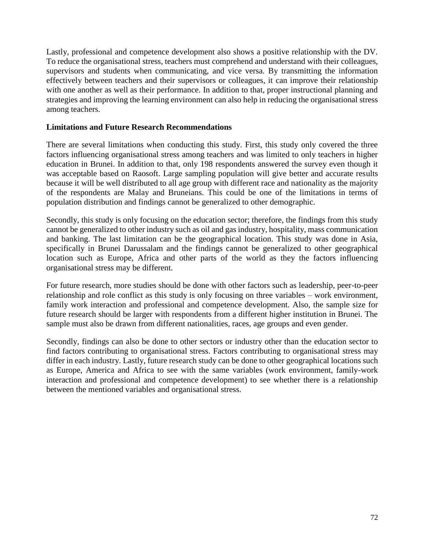Lastly, professional and competence development also shows a positive relationship with the DV. To reduce the organisational stress, teachers must comprehend and understand with their colleagues, supervisors and students when communicating, and vice versa. By transmitting the information effectively between teachers and their supervisors or colleagues, it can improve their relationship with one another as well as their performance. In addition to that, proper instructional planning and strategies and improving the learning environment can also help in reducing the organisational stress among teachers.

## **Limitations and Future Research Recommendations**

There are several limitations when conducting this study. First, this study only covered the three factors influencing organisational stress among teachers and was limited to only teachers in higher education in Brunei. In addition to that, only 198 respondents answered the survey even though it was acceptable based on Raosoft. Large sampling population will give better and accurate results because it will be well distributed to all age group with different race and nationality as the majority of the respondents are Malay and Bruneians. This could be one of the limitations in terms of population distribution and findings cannot be generalized to other demographic.

Secondly, this study is only focusing on the education sector; therefore, the findings from this study cannot be generalized to other industry such as oil and gas industry, hospitality, mass communication and banking. The last limitation can be the geographical location. This study was done in Asia, specifically in Brunei Darussalam and the findings cannot be generalized to other geographical location such as Europe, Africa and other parts of the world as they the factors influencing organisational stress may be different.

For future research, more studies should be done with other factors such as leadership, peer-to-peer relationship and role conflict as this study is only focusing on three variables – work environment, family work interaction and professional and competence development. Also, the sample size for future research should be larger with respondents from a different higher institution in Brunei. The sample must also be drawn from different nationalities, races, age groups and even gender.

Secondly, findings can also be done to other sectors or industry other than the education sector to find factors contributing to organisational stress. Factors contributing to organisational stress may differ in each industry. Lastly, future research study can be done to other geographical locations such as Europe, America and Africa to see with the same variables (work environment, family-work interaction and professional and competence development) to see whether there is a relationship between the mentioned variables and organisational stress.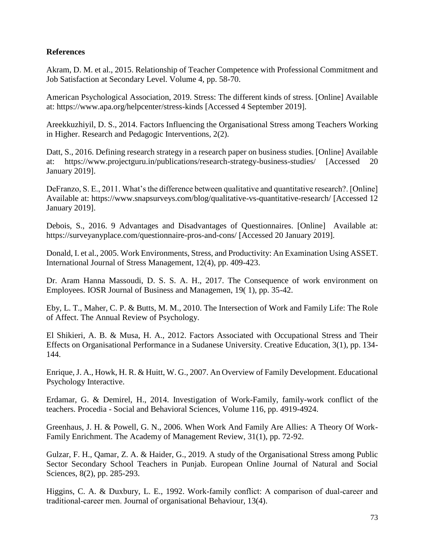# **References**

Akram, D. M. et al., 2015. Relationship of Teacher Competence with Professional Commitment and Job Satisfaction at Secondary Level. Volume 4, pp. 58-70.

American Psychological Association, 2019. Stress: The different kinds of stress. [Online] Available at: https://www.apa.org/helpcenter/stress-kinds [Accessed 4 September 2019].

Areekkuzhiyil, D. S., 2014. Factors Influencing the Organisational Stress among Teachers Working in Higher. Research and Pedagogic Interventions, 2(2).

Datt, S., 2016. Defining research strategy in a research paper on business studies. [Online] Available at: https://www.projectguru.in/publications/research-strategy-business-studies/ [Accessed 20 January 2019].

DeFranzo, S. E., 2011. What's the difference between qualitative and quantitative research?. [Online] Available at: https://www.snapsurveys.com/blog/qualitative-vs-quantitative-research/ [Accessed 12 January 2019].

Debois, S., 2016. 9 Advantages and Disadvantages of Questionnaires. [Online] Available at: https://surveyanyplace.com/questionnaire-pros-and-cons/ [Accessed 20 January 2019].

Donald, I. et al., 2005. Work Environments, Stress, and Productivity: An Examination Using ASSET. International Journal of Stress Management, 12(4), pp. 409-423.

Dr. Aram Hanna Massoudi, D. S. S. A. H., 2017. The Consequence of work environment on Employees. IOSR Journal of Business and Managemen, 19( 1), pp. 35-42.

Eby, L. T., Maher, C. P. & Butts, M. M., 2010. The Intersection of Work and Family Life: The Role of Affect. The Annual Review of Psychology.

El Shikieri, A. B. & Musa, H. A., 2012. Factors Associated with Occupational Stress and Their Effects on Organisational Performance in a Sudanese University. Creative Education, 3(1), pp. 134- 144.

Enrique, J. A., Howk, H. R. & Huitt, W. G., 2007. An Overview of Family Development. Educational Psychology Interactive.

Erdamar, G. & Demirel, H., 2014. Investigation of Work-Family, family-work conflict of the teachers. Procedia - Social and Behavioral Sciences, Volume 116, pp. 4919-4924.

Greenhaus, J. H. & Powell, G. N., 2006. When Work And Family Are Allies: A Theory Of Work-Family Enrichment. The Academy of Management Review, 31(1), pp. 72-92.

Gulzar, F. H., Qamar, Z. A. & Haider, G., 2019. A study of the Organisational Stress among Public Sector Secondary School Teachers in Punjab. European Online Journal of Natural and Social Sciences, 8(2), pp. 285-293.

Higgins, C. A. & Duxbury, L. E., 1992. Work-family conflict: A comparison of dual-career and traditional‐career men. Journal of organisational Behaviour, 13(4).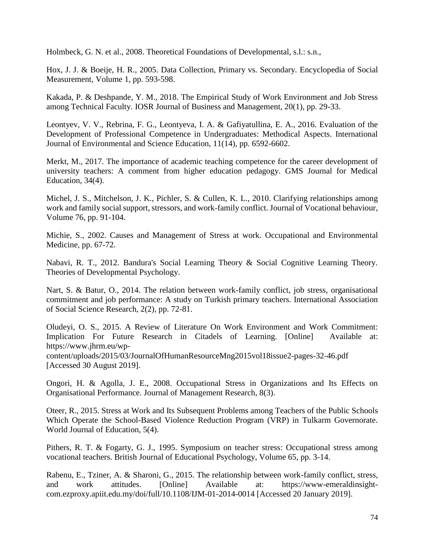Holmbeck, G. N. et al., 2008. Theoretical Foundations of Developmental, s.l.: s.n.,

Hox, J. J. & Boeije, H. R., 2005. Data Collection, Primary vs. Secondary. Encyclopedia of Social Measurement, Volume 1, pp. 593-598.

Kakada, P. & Deshpande, Y. M., 2018. The Empirical Study of Work Environment and Job Stress among Technical Faculty. IOSR Journal of Business and Management, 20(1), pp. 29-33.

Leontyev, V. V., Rebrina, F. G., Leontyeva, I. A. & Gafiyatullina, E. A., 2016. Evaluation of the Development of Professional Competence in Undergraduates: Methodical Aspects. International Journal of Environmental and Science Education, 11(14), pp. 6592-6602.

Merkt, M., 2017. The importance of academic teaching competence for the career development of university teachers: A comment from higher education pedagogy. GMS Journal for Medical Education, 34(4).

Michel, J. S., Mitchelson, J. K., Pichler, S. & Cullen, K. L., 2010. Clarifying relationships among work and family social support, stressors, and work-family conflict. Journal of Vocational behaviour, Volume 76, pp. 91-104.

Michie, S., 2002. Causes and Management of Stress at work. Occupational and Environmental Medicine, pp. 67-72.

Nabavi, R. T., 2012. Bandura's Social Learning Theory & Social Cognitive Learning Theory. Theories of Developmental Psychology.

Nart, S. & Batur, O., 2014. The relation between work-family conflict, job stress, organisational commitment and job performance: A study on Turkish primary teachers. International Association of Social Science Research, 2(2), pp. 72-81.

Oludeyi, O. S., 2015. A Review of Literature On Work Environment and Work Commitment: Implication For Future Research in Citadels of Learning. [Online] Available at: https://www.jhrm.eu/wpcontent/uploads/2015/03/JournalOfHumanResourceMng2015vol18issue2-pages-32-46.pdf [Accessed 30 August 2019].

Ongori, H. & Agolla, J. E., 2008. Occupational Stress in Organizations and Its Effects on Organisational Performance. Journal of Management Research, 8(3).

Oteer, R., 2015. Stress at Work and Its Subsequent Problems among Teachers of the Public Schools Which Operate the School-Based Violence Reduction Program (VRP) in Tulkarm Governorate. World Journal of Education, 5(4).

Pithers, R. T. & Fogarty, G. J., 1995. Symposium on teacher stress: Occupational stress among vocational teachers. British Journal of Educational Psychology, Volume 65, pp. 3-14.

Rabenu, E., Tziner, A. & Sharoni, G., 2015. The relationship between work-family conflict, stress, and work attitudes. [Online] Available at: https://www-emeraldinsightcom.ezproxy.apiit.edu.my/doi/full/10.1108/IJM-01-2014-0014 [Accessed 20 January 2019].